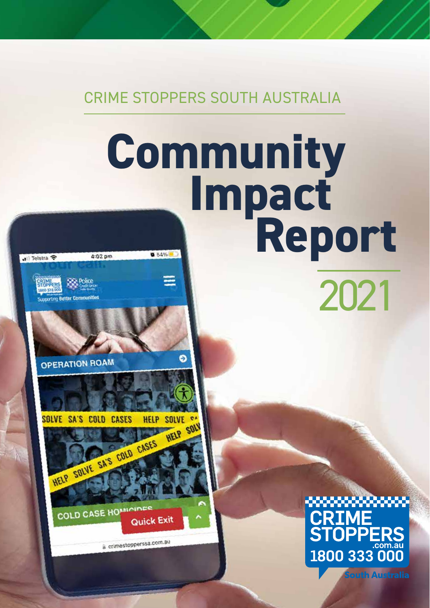CRIME STOPPERS SOUTH AUSTRALIA

# **Impact Community Report**4:02 pm

**OPERATION ROAM** 

**Supporting Better Communities** 

.ll Telstra <mark>수</mark>

HELP SOLVE @ SOLVE SA'S COLD **CASES HELP SOL** 

Θ

HELP SOLVE SA'S COLD CASES COLD CASE HOMIC **Quick Exit** 

a crimestopperssa.com.au

**JPPI** 1800 333 000

2021

**South Australia**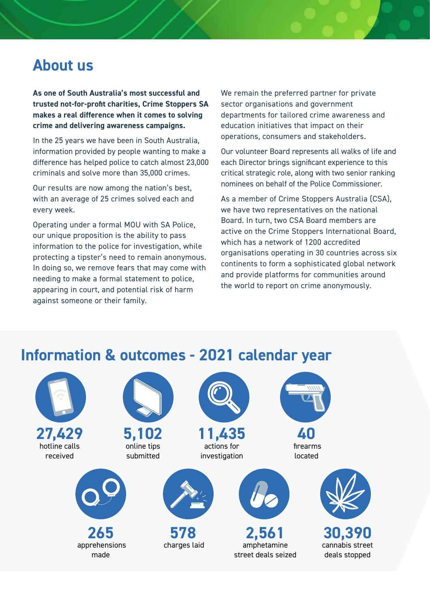## **About us**

**As one of South Australia's most successful and trusted not-for-profit charities, Crime Stoppers SA makes a real difference when it comes to solving crime and delivering awareness campaigns.** 

In the 25 years we have been in South Australia, information provided by people wanting to make a difference has helped police to catch almost 23,000 criminals and solve more than 35,000 crimes.

Our results are now among the nation's best, with an average of 25 crimes solved each and every week.

Operating under a formal MOU with SA Police, our unique proposition is the ability to pass information to the police for investigation, while protecting a tipster's need to remain anonymous. In doing so, we remove fears that may come with needing to make a formal statement to police, appearing in court, and potential risk of harm against someone or their family.

We remain the preferred partner for private sector organisations and government departments for tailored crime awareness and education initiatives that impact on their operations, consumers and stakeholders.

Our volunteer Board represents all walks of life and each Director brings significant experience to this critical strategic role, along with two senior ranking nominees on behalf of the Police Commissioner.

As a member of Crime Stoppers Australia (CSA), we have two representatives on the national Board. In turn, two CSA Board members are active on the Crime Stoppers International Board, which has a network of 1200 accredited organisations operating in 30 countries across six continents to form a sophisticated global network and provide platforms for communities around the world to report on crime anonymously.



## **Information & outcomes - 2021 calendar year**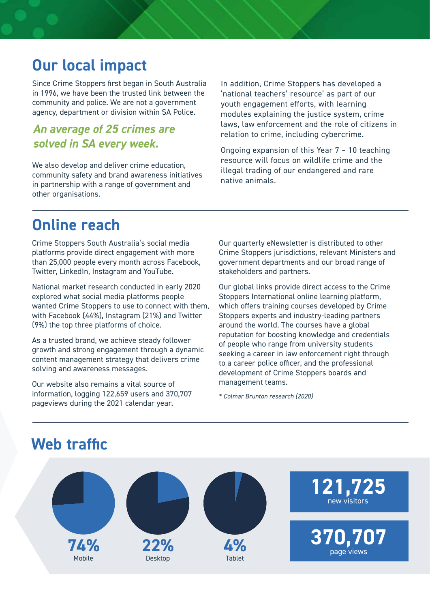## **Our local impact**

Since Crime Stoppers first began in South Australia in 1996, we have been the trusted link between the community and police. We are not a government agency, department or division within SA Police.

#### *An average of 25 crimes are solved in SA every week.*

We also develop and deliver crime education, community safety and brand awareness initiatives in partnership with a range of government and other organisations.

In addition, Crime Stoppers has developed a 'national teachers' resource' as part of our youth engagement efforts, with learning modules explaining the justice system, crime laws, law enforcement and the role of citizens in relation to crime, including cybercrime.

Ongoing expansion of this Year 7 – 10 teaching resource will focus on wildlife crime and the illegal trading of our endangered and rare native animals.

## **Online reach**

Crime Stoppers South Australia's social media platforms provide direct engagement with more than 25,000 people every month across Facebook, Twitter, LinkedIn, Instagram and YouTube.

National market research conducted in early 2020 explored what social media platforms people wanted Crime Stoppers to use to connect with them, with Facebook (44%), Instagram (21%) and Twitter (9%) the top three platforms of choice.

As a trusted brand, we achieve steady follower growth and strong engagement through a dynamic content management strategy that delivers crime solving and awareness messages.

Our website also remains a vital source of information, logging 122,659 users and 370,707 pageviews during the 2021 calendar year.

Our quarterly eNewsletter is distributed to other Crime Stoppers jurisdictions, relevant Ministers and government departments and our broad range of stakeholders and partners.

Our global links provide direct access to the Crime Stoppers International online learning platform, which offers training courses developed by Crime Stoppers experts and industry-leading partners around the world. The courses have a global reputation for boosting knowledge and credentials of people who range from university students seeking a career in law enforcement right through to a career police officer, and the professional development of Crime Stoppers boards and management teams.

*\* Colmar Brunton research (2020)*

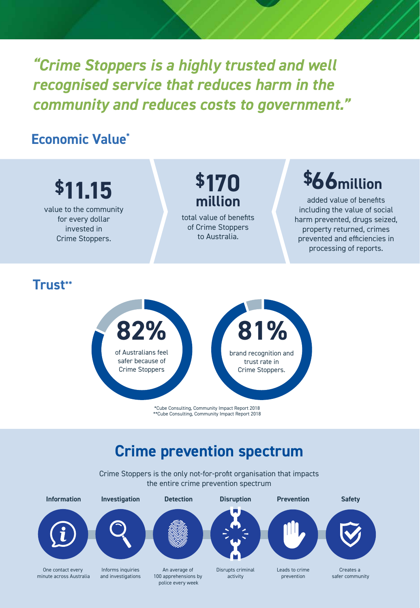*"Crime Stoppers is a highly trusted and well recognised service that reduces harm in the community and reduces costs to government."*

#### **Economic Value\***



Crime Stoppers

\*Cube Consulting, Community Impact Report 2018 \*\*Cube Consulting, Community Impact Report 2018

Crime Stoppers.

### **Crime prevention spectrum**

Crime Stoppers is the only not-for-profit organisation that impacts the entire crime prevention spectrum

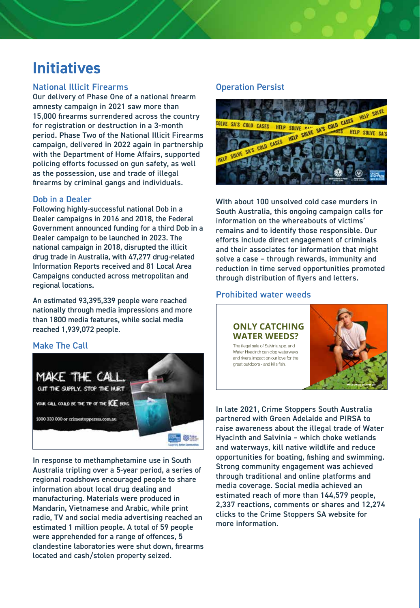## **Initiatives**

#### National Illicit Firearms

Our delivery of Phase One of a national firearm amnesty campaign in 2021 saw more than 15,000 firearms surrendered across the country for registration or destruction in a 3-month period. Phase Two of the National Illicit Firearms campaign, delivered in 2022 again in partnership with the Department of Home Affairs, supported policing efforts focussed on gun safety, as well as the possession, use and trade of illegal firearms by criminal gangs and individuals.

#### Dob in a Dealer

Following highly-successful national Dob in a Dealer campaigns in 2016 and 2018, the Federal Government announced funding for a third Dob in a Dealer campaign to be launched in 2023. The national campaign in 2018, disrupted the illicit drug trade in Australia, with 47,277 drug-related Information Reports received and 81 Local Area Campaigns conducted across metropolitan and regional locations.

An estimated 93,395,339 people were reached nationally through media impressions and more than 1800 media features, while social media reached 1,939,072 people.

#### Make The Call



In response to methamphetamine use in South Australia tripling over a 5-year period, a series of regional roadshows encouraged people to share information about local drug dealing and manufacturing. Materials were produced in Mandarin, Vietnamese and Arabic, while print radio, TV and social media advertising reached an estimated 1 million people. A total of 59 people were apprehended for a range of offences, 5 clandestine laboratories were shut down, firearms located and cash/stolen property seized.

#### Operation Persist



With about 100 unsolved cold case murders in South Australia, this ongoing campaign calls for information on the whereabouts of victims' remains and to identify those responsible. Our efforts include direct engagement of criminals and their associates for information that might solve a case - through rewards, immunity and reduction in time served opportunities promoted through distribution of flyers and letters.

#### Prohibited water weeds

#### **ONLY CATCHING WATER WEEDS?** The illegal sale of Salvinia spp. and

Water Hyacinth can clog waterways and rivers, impact on our love for the great outdoors - and kills fish.



In late 2021, Crime Stoppers South Australia partnered with Green Adelaide and PIRSA to raise awareness about the illegal trade of Water Hyacinth and Salvinia – which choke wetlands and waterways, kill native wildlife and reduce opportunities for boating, fishing and swimming. Strong community engagement was achieved through traditional and online platforms and media coverage. Social media achieved an estimated reach of more than 144,579 people, 2,337 reactions, comments or shares and 12,274 clicks to the Crime Stoppers SA website for more information.